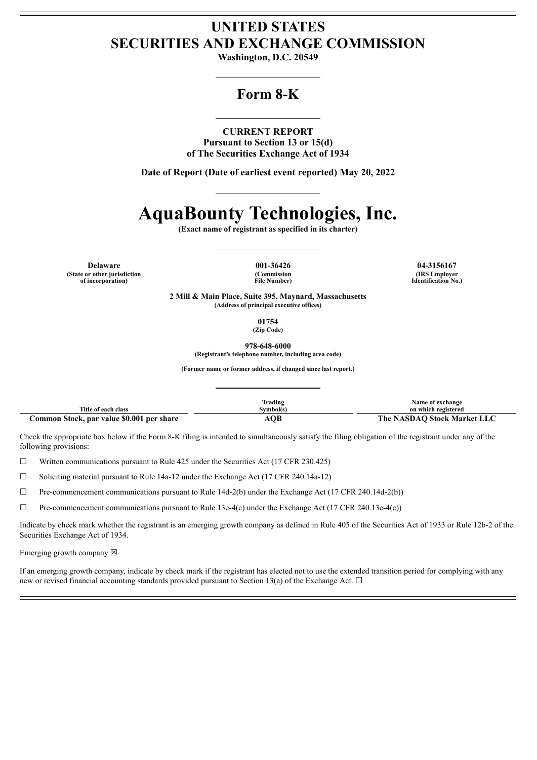# **UNITED STATES SECURITIES AND EXCHANGE COMMISSION**

**Washington, D.C. 20549**

# **Form 8-K**

### **CURRENT REPORT**

**Pursuant to Section 13 or 15(d) of The Securities Exchange Act of 1934**

**Date of Report (Date of earliest event reported) May 20, 2022**

# **AquaBounty Technologies, Inc.**

**(Exact name of registrant as specified in its charter)**

**Delaware 001-36426 04-3156167 (State or other jurisdiction of incorporation)**

**(Commission File Number)**

**(IRS Employer Identification No.)**

**2 Mill & Main Place, Suite 395, Maynard, Massachusetts (Address of principal executive offices)**

> **01754 (Zip Code)**

**978-648-6000 (Registrant's telephone number, including area code)**

**(Former name or former address, if changed since last report.)**

|                                           | <b>Frading</b> | <b>Name of exchange</b>     |
|-------------------------------------------|----------------|-----------------------------|
| Title of each class                       | Svmbol(s       | on which registered         |
| Common Stock, par value \$0.001 per share | <b>AOB</b>     | The NASDAO Stock Market LLC |

Check the appropriate box below if the Form 8-K filing is intended to simultaneously satisfy the filing obligation of the registrant under any of the following provisions:

 $\Box$  Written communications pursuant to Rule 425 under the Securities Act (17 CFR 230.425)

 $\Box$  Soliciting material pursuant to Rule 14a-12 under the Exchange Act (17 CFR 240.14a-12)

 $\Box$  Pre-commencement communications pursuant to Rule 14d-2(b) under the Exchange Act (17 CFR 240.14d-2(b))

 $\Box$  Pre-commencement communications pursuant to Rule 13e-4(c) under the Exchange Act (17 CFR 240.13e-4(c))

Indicate by check mark whether the registrant is an emerging growth company as defined in Rule 405 of the Securities Act of 1933 or Rule 12b-2 of the Securities Exchange Act of 1934.

Emerging growth company  $\boxtimes$ 

If an emerging growth company, indicate by check mark if the registrant has elected not to use the extended transition period for complying with any new or revised financial accounting standards provided pursuant to Section 13(a) of the Exchange Act.  $\Box$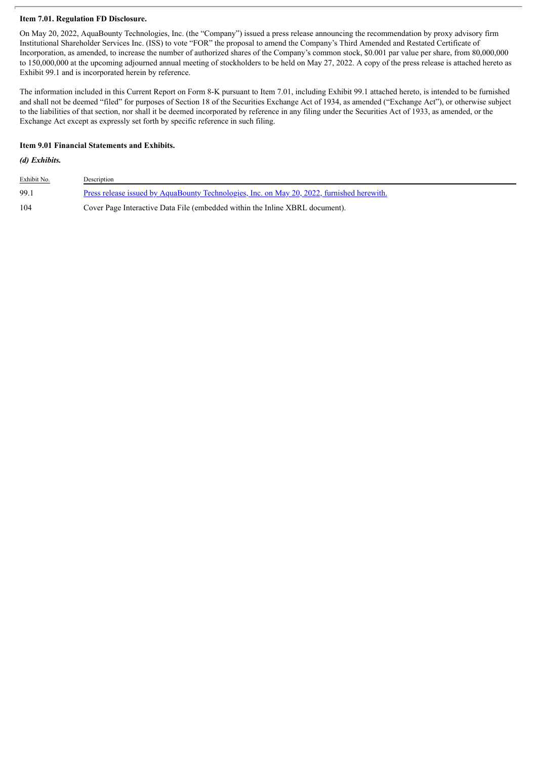# **Item 7.01. Regulation FD Disclosure.**

On May 20, 2022, AquaBounty Technologies, Inc. (the "Company") issued a press release announcing the recommendation by proxy advisory firm Institutional Shareholder Services Inc. (ISS) to vote "FOR" the proposal to amend the Company's Third Amended and Restated Certificate of Incorporation, as amended, to increase the number of authorized shares of the Company's common stock, \$0.001 par value per share, from 80,000,000 to 150,000,000 at the upcoming adjourned annual meeting of stockholders to be held on May 27, 2022. A copy of the press release is attached hereto as Exhibit 99.1 and is incorporated herein by reference.

The information included in this Current Report on Form 8-K pursuant to Item 7.01, including Exhibit 99.1 attached hereto, is intended to be furnished and shall not be deemed "filed" for purposes of Section 18 of the Securities Exchange Act of 1934, as amended ("Exchange Act"), or otherwise subject to the liabilities of that section, nor shall it be deemed incorporated by reference in any filing under the Securities Act of 1933, as amended, or the Exchange Act except as expressly set forth by specific reference in such filing.

# **Item 9.01 Financial Statements and Exhibits.**

# *(d) Exhibits.*

| Exhibit No. | Description                                                                                       |
|-------------|---------------------------------------------------------------------------------------------------|
| 99.1        | <u>Press release issued by AquaBounty Technologies, Inc. on May 20, 2022, furnished herewith.</u> |
| 104         | Cover Page Interactive Data File (embedded within the Inline XBRL document).                      |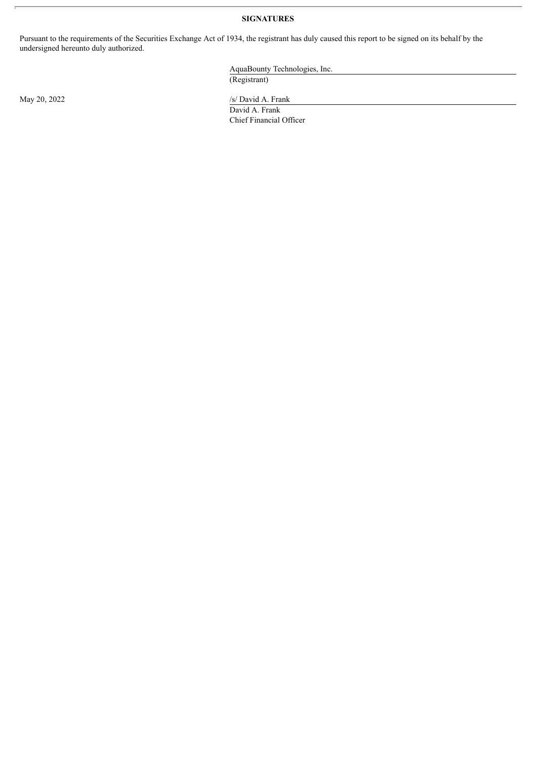# **SIGNATURES**

Pursuant to the requirements of the Securities Exchange Act of 1934, the registrant has duly caused this report to be signed on its behalf by the undersigned hereunto duly authorized.

> AquaBounty Technologies, Inc. (Registrant)

May 20, 2022 /s/ David A. Frank

David A. Frank Chief Financial Officer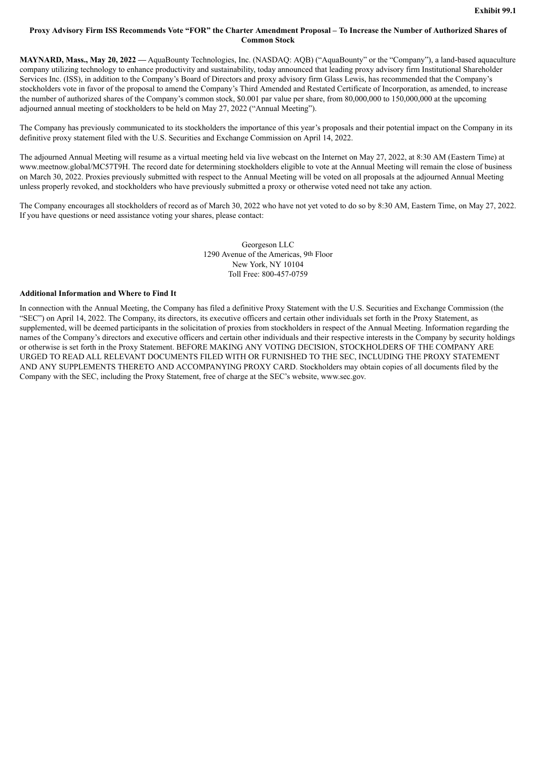# <span id="page-3-0"></span>Proxy Advisory Firm ISS Recommends Vote "FOR" the Charter Amendment Proposal - To Increase the Number of Authorized Shares of **Common Stock**

**MAYNARD, Mass., May 20, 2022 —** AquaBounty Technologies, Inc. (NASDAQ: AQB) ("AquaBounty" or the "Company"), a land-based aquaculture company utilizing technology to enhance productivity and sustainability, today announced that leading proxy advisory firm Institutional Shareholder Services Inc. (ISS), in addition to the Company's Board of Directors and proxy advisory firm Glass Lewis, has recommended that the Company's stockholders vote in favor of the proposal to amend the Company's Third Amended and Restated Certificate of Incorporation, as amended, to increase the number of authorized shares of the Company's common stock, \$0.001 par value per share, from 80,000,000 to 150,000,000 at the upcoming adjourned annual meeting of stockholders to be held on May 27, 2022 ("Annual Meeting").

The Company has previously communicated to its stockholders the importance of this year's proposals and their potential impact on the Company in its definitive proxy statement filed with the U.S. Securities and Exchange Commission on April 14, 2022.

The adjourned Annual Meeting will resume as a virtual meeting held via live webcast on the Internet on May 27, 2022, at 8:30 AM (Eastern Time) at www.meetnow.global/MC57T9H. The record date for determining stockholders eligible to vote at the Annual Meeting will remain the close of business on March 30, 2022. Proxies previously submitted with respect to the Annual Meeting will be voted on all proposals at the adjourned Annual Meeting unless properly revoked, and stockholders who have previously submitted a proxy or otherwise voted need not take any action.

The Company encourages all stockholders of record as of March 30, 2022 who have not yet voted to do so by 8:30 AM, Eastern Time, on May 27, 2022. If you have questions or need assistance voting your shares, please contact:

> Georgeson LLC 1290 Avenue of the Americas, 9th Floor New York, NY 10104 Toll Free: 800-457-0759

#### **Additional Information and Where to Find It**

In connection with the Annual Meeting, the Company has filed a definitive Proxy Statement with the U.S. Securities and Exchange Commission (the "SEC") on April 14, 2022. The Company, its directors, its executive officers and certain other individuals set forth in the Proxy Statement, as supplemented, will be deemed participants in the solicitation of proxies from stockholders in respect of the Annual Meeting. Information regarding the names of the Company's directors and executive officers and certain other individuals and their respective interests in the Company by security holdings or otherwise is set forth in the Proxy Statement. BEFORE MAKING ANY VOTING DECISION, STOCKHOLDERS OF THE COMPANY ARE URGED TO READ ALL RELEVANT DOCUMENTS FILED WITH OR FURNISHED TO THE SEC, INCLUDING THE PROXY STATEMENT AND ANY SUPPLEMENTS THERETO AND ACCOMPANYING PROXY CARD. Stockholders may obtain copies of all documents filed by the Company with the SEC, including the Proxy Statement, free of charge at the SEC's website, www.sec.gov.